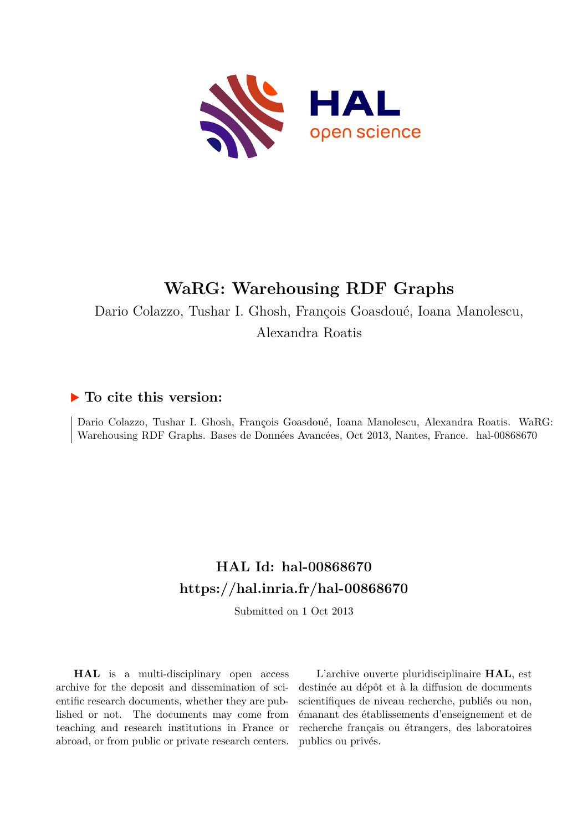

# **WaRG: Warehousing RDF Graphs**

Dario Colazzo, Tushar I. Ghosh, François Goasdoué, Ioana Manolescu, Alexandra Roatis

# **To cite this version:**

Dario Colazzo, Tushar I. Ghosh, François Goasdoué, Ioana Manolescu, Alexandra Roatis. WaRG: Warehousing RDF Graphs. Bases de Données Avancées, Oct 2013, Nantes, France. hal-00868670

# **HAL Id: hal-00868670 <https://hal.inria.fr/hal-00868670>**

Submitted on 1 Oct 2013

**HAL** is a multi-disciplinary open access archive for the deposit and dissemination of scientific research documents, whether they are published or not. The documents may come from teaching and research institutions in France or abroad, or from public or private research centers.

L'archive ouverte pluridisciplinaire **HAL**, est destinée au dépôt et à la diffusion de documents scientifiques de niveau recherche, publiés ou non, émanant des établissements d'enseignement et de recherche français ou étrangers, des laboratoires publics ou privés.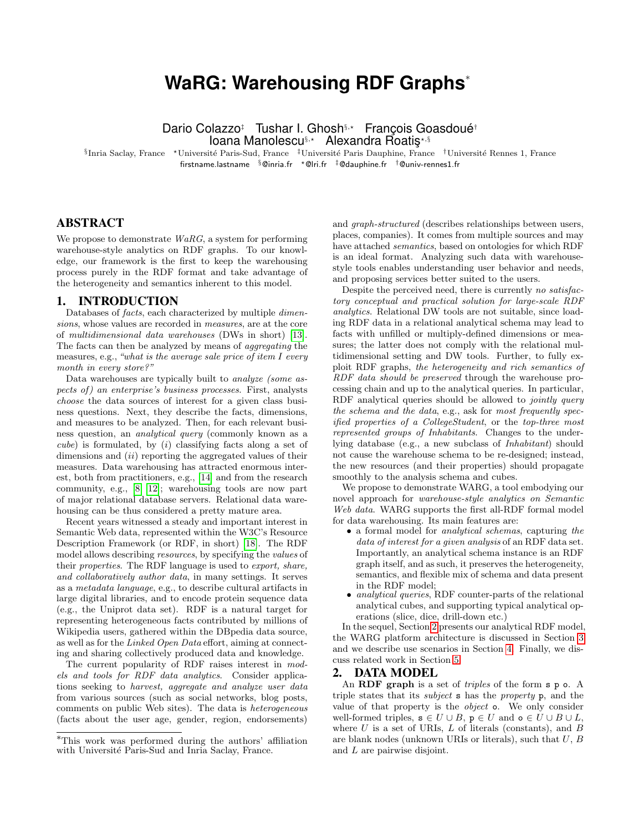# **WaRG: Warehousing RDF Graphs**<sup>∗</sup>

Dario Colazzo‡ Tushar I. Ghosh§,? François Goasdoué† Ioana Manolescu<sup>§,\*</sup> Alexandra Roatis<sup>\*,§</sup>

<sup>§</sup>Inria Saclay, France \*Université Paris-Sud, France <sup>‡</sup>Université Paris Dauphine, France †Université Rennes 1, France firstname.lastname  $\frac{8}{9}$ @inria.fr  $\star$  @lri.fr  $\frac{4}{9}$ @dauphine.fr  $\frac{4}{9}$ @univ-rennes1.fr

# ABSTRACT

We propose to demonstrate  $WaRG$ , a system for performing warehouse-style analytics on RDF graphs. To our knowledge, our framework is the first to keep the warehousing process purely in the RDF format and take advantage of the heterogeneity and semantics inherent to this model.

## 1. INTRODUCTION

Databases of facts, each characterized by multiple dimensions, whose values are recorded in measures, are at the core of multidimensional data warehouses (DWs in short) [13]. The facts can then be analyzed by means of aggregating the measures, e.g., "what is the average sale price of item I every month in every store?"

Data warehouses are typically built to analyze (some aspects of) an enterprise's business processes. First, analysts choose the data sources of interest for a given class business questions. Next, they describe the facts, dimensions, and measures to be analyzed. Then, for each relevant business question, an analytical query (commonly known as a  $cube$ ) is formulated, by  $(i)$  classifying facts along a set of dimensions and  $(ii)$  reporting the aggregated values of their measures. Data warehousing has attracted enormous interest, both from practitioners, e.g., [14] and from the research community, e.g., [8, 12]; warehousing tools are now part of major relational database servers. Relational data warehousing can be thus considered a pretty mature area.

Recent years witnessed a steady and important interest in Semantic Web data, represented within the W3C's Resource Description Framework (or RDF, in short) [18]. The RDF model allows describing resources, by specifying the values of their properties. The RDF language is used to export, share, and collaboratively author data, in many settings. It serves as a metadata language, e.g., to describe cultural artifacts in large digital libraries, and to encode protein sequence data (e.g., the Uniprot data set). RDF is a natural target for representing heterogeneous facts contributed by millions of Wikipedia users, gathered within the DBpedia data source, as well as for the Linked Open Data effort, aiming at connecting and sharing collectively produced data and knowledge.

The current popularity of RDF raises interest in models and tools for RDF data analytics. Consider applications seeking to harvest, aggregate and analyze user data from various sources (such as social networks, blog posts, comments on public Web sites). The data is heterogeneous (facts about the user age, gender, region, endorsements)

and graph-structured (describes relationships between users, places, companies). It comes from multiple sources and may have attached *semantics*, based on ontologies for which RDF is an ideal format. Analyzing such data with warehousestyle tools enables understanding user behavior and needs, and proposing services better suited to the users.

Despite the perceived need, there is currently no satisfactory conceptual and practical solution for large-scale RDF analytics. Relational DW tools are not suitable, since loading RDF data in a relational analytical schema may lead to facts with unfilled or multiply-defined dimensions or measures; the latter does not comply with the relational multidimensional setting and DW tools. Further, to fully exploit RDF graphs, the heterogeneity and rich semantics of RDF data should be preserved through the warehouse processing chain and up to the analytical queries. In particular, RDF analytical queries should be allowed to *jointly query* the schema and the data, e.g., ask for most frequently specified properties of a CollegeStudent, or the top-three most represented groups of Inhabitants. Changes to the underlying database (e.g., a new subclass of Inhabitant) should not cause the warehouse schema to be re-designed; instead, the new resources (and their properties) should propagate smoothly to the analysis schema and cubes.

We propose to demonstrate WARG, a tool embodying our novel approach for warehouse-style analytics on Semantic Web data. WARG supports the first all-RDF formal model for data warehousing. Its main features are:

- a formal model for analytical schemas, capturing the data of interest for a given analysis of an RDF data set. Importantly, an analytical schema instance is an RDF graph itself, and as such, it preserves the heterogeneity, semantics, and flexible mix of schema and data present in the RDF model;
- analytical queries, RDF counter-parts of the relational analytical cubes, and supporting typical analytical operations (slice, dice, drill-down etc.)

In the sequel, Section 2 presents our analytical RDF model, the WARG platform architecture is discussed in Section 3 and we describe use scenarios in Section 4. Finally, we discuss related work in Section 5.

#### 2. DATA MODEL

An **RDF** graph is a set of *triples* of the form s p o. A triple states that its subject s has the property p, and the value of that property is the object o. We only consider well-formed triples,  $\mathbf{s} \in U \cup B$ ,  $\mathbf{p} \in U$  and  $\mathbf{o} \in U \cup B \cup L$ , where  $U$  is a set of URIs,  $L$  of literals (constants), and  $B$ are blank nodes (unknown URIs or literals), such that  $U, B$ and L are pairwise disjoint.

<sup>∗</sup>This work was performed during the authors' affiliation with Université Paris-Sud and Inria Saclay, France.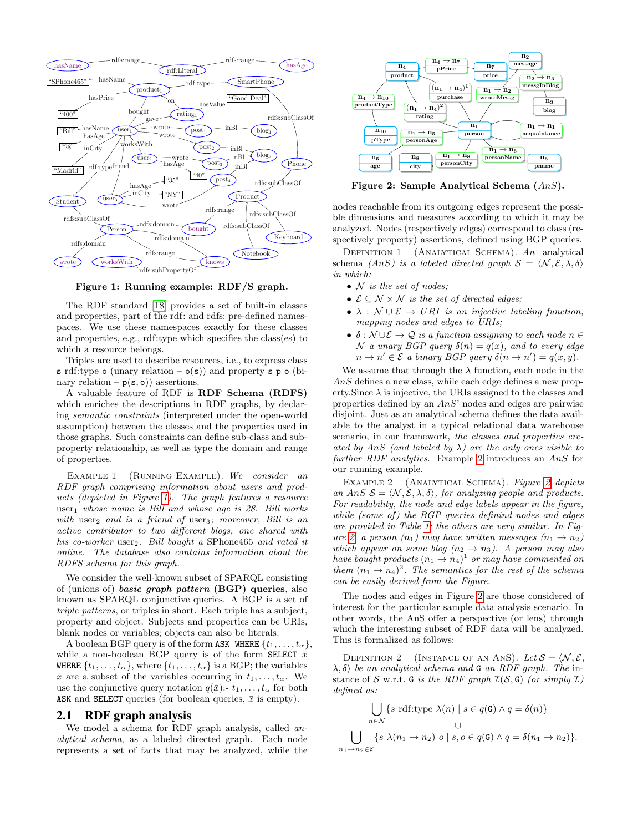

Figure 1: Running example: RDF/S graph.

The RDF standard [18] provides a set of built-in classes and properties, part of the rdf: and rdfs: pre-defined namespaces. We use these namespaces exactly for these classes and properties, e.g., rdf:type which specifies the class(es) to which a resource belongs.

Triples are used to describe resources, i.e., to express class s rdf:type  $\circ$  (unary relation –  $\circ$ (s)) and property s p  $\circ$  (binary relation –  $p(s, o)$  assertions.

A valuable feature of RDF is RDF Schema (RDFS) which enriches the descriptions in RDF graphs, by declaring semantic constraints (interpreted under the open-world assumption) between the classes and the properties used in those graphs. Such constraints can define sub-class and subproperty relationship, as well as type the domain and range of properties.

EXAMPLE 1 (RUNNING EXAMPLE). We consider an RDF graph comprising information about users and products (depicted in Figure 1). The graph features a resource user<sub>1</sub> whose name is Bill and whose age is  $28$ . Bill works with user<sub>2</sub> and is a friend of user<sub>3</sub>; moreover, Bill is an active contributor to two different blogs, one shared with his co-worker user<sub>2</sub>. Bill bought a SPhone465 and rated it online. The database also contains information about the RDFS schema for this graph.

We consider the well-known subset of SPARQL consisting of (unions of) basic graph pattern (BGP) queries, also known as SPARQL conjunctive queries. A BGP is a set of triple patterns, or triples in short. Each triple has a subject, property and object. Subjects and properties can be URIs, blank nodes or variables; objects can also be literals.

A boolean BGP query is of the form ASK WHERE  $\{t_1, \ldots, t_\alpha\}$ , while a non-boolean BGP query is of the form SELECT  $\bar{x}$ WHERE  $\{t_1, \ldots, t_\alpha\}$ , where  $\{t_1, \ldots, t_\alpha\}$  is a BGP; the variables  $\bar{x}$  are a subset of the variables occurring in  $t_1, \ldots, t_\alpha$ . We use the conjunctive query notation  $q(\bar{x})$ :-  $t_1, \ldots, t_\alpha$  for both ASK and SELECT queries (for boolean queries,  $\bar{x}$  is empty).

# 2.1 RDF graph analysis

We model a schema for RDF graph analysis, called analytical schema, as a labeled directed graph. Each node represents a set of facts that may be analyzed, while the



Figure 2: Sample Analytical Schema (AnS).

nodes reachable from its outgoing edges represent the possible dimensions and measures according to which it may be analyzed. Nodes (respectively edges) correspond to class (respectively property) assertions, defined using BGP queries.

DEFINITION 1 (ANALYTICAL SCHEMA).  $An$  analytical schema (AnS) is a labeled directed graph  $S = \langle N, \mathcal{E}, \lambda, \delta \rangle$ in which:

- $N$  is the set of nodes;
- $\mathcal{E} \subset \mathcal{N} \times \mathcal{N}$  is the set of directed edges;
- $\lambda : \mathcal{N} \cup \mathcal{E} \rightarrow \text{URI}$  is an injective labeling function, mapping nodes and edges to URIs;
- $\delta : \mathcal{N} \cup \mathcal{E} \rightarrow \mathcal{Q}$  is a function assigning to each node  $n \in \mathcal{E}$  $\mathcal N$  a unary BGP query  $\delta(n) = q(x)$ , and to every edge  $n \to n' \in \mathcal{E}$  a binary BGP query  $\delta(n \to n') = q(x, y)$ .

We assume that through the  $\lambda$  function, each node in the  $AnsS$  defines a new class, while each edge defines a new property. Since  $\lambda$  is injective, the URIs assigned to the classes and properties defined by an AnS' nodes and edges are pairwise disjoint. Just as an analytical schema defines the data available to the analyst in a typical relational data warehouse scenario, in our framework, the classes and properties created by AnS (and labeled by  $\lambda$ ) are the only ones visible to further RDF analytics. Example 2 introduces an AnS for our running example.

EXAMPLE 2 (ANALYTICAL SCHEMA). Figure 2 depicts an AnS  $S = \langle N, \mathcal{E}, \lambda, \delta \rangle$ , for analyzing people and products. For readability, the node and edge labels appear in the figure, while (some of) the BGP queries definind nodes and edges are provided in Table 1; the others are very similar. In Figure 2, a person  $(n_1)$  may have written messages  $(n_1 \rightarrow n_2)$ which appear on some blog  $(n_2 \rightarrow n_3)$ . A person may also have bought products  $(n_1 \rightarrow n_4)^T$  or may have commented on them  $(n_1 \rightarrow n_4)^2$ . The semantics for the rest of the schema can be easily derived from the Figure.

The nodes and edges in Figure 2 are those considered of interest for the particular sample data analysis scenario. In other words, the AnS offer a perspective (or lens) through which the interesting subset of RDF data will be analyzed. This is formalized as follows:

DEFINITION 2 (INSTANCE OF AN ANS). Let  $S = \langle N, \mathcal{E}, \mathcal{E} \rangle$  $\lambda$ ,  $\delta$  be an analytical schema and G an RDF graph. The instance of S w.r.t. G is the RDF graph  $\mathcal{I}(\mathcal{S}, G)$  (or simply  $\mathcal{I}$ ) defined as:

$$
\bigcup_{n \in \mathcal{N}} \{ s \text{ rdf: type } \lambda(n) \mid s \in q(\mathbf{G}) \land q = \delta(n) \}
$$
  

$$
\bigcup_{n_1 \to n_2 \in \mathcal{E}} \{ s \lambda(n_1 \to n_2) \mid s, o \in q(\mathbf{G}) \land q = \delta(n_1 \to n_2) \}.
$$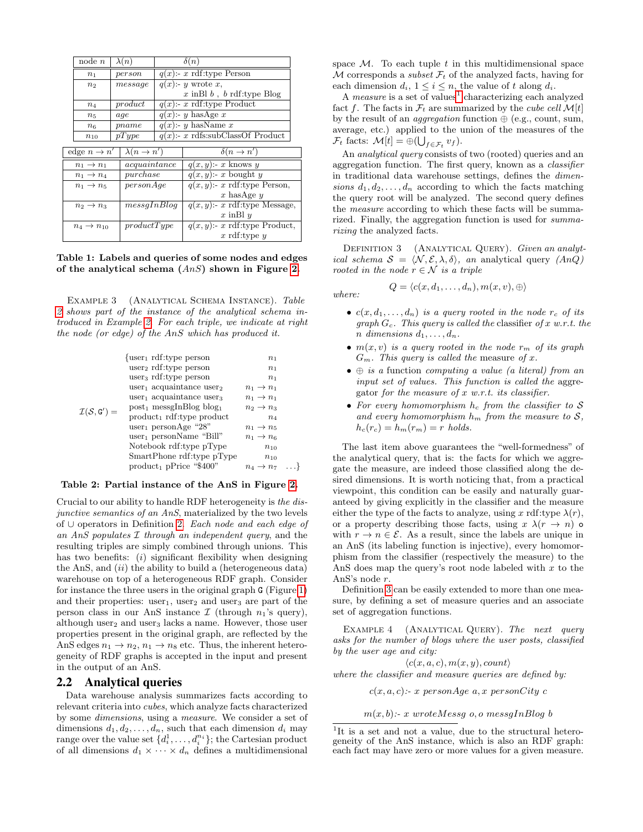| node n         | $\lambda(n)$ | $\delta(n)$                         |  |
|----------------|--------------|-------------------------------------|--|
| n <sub>1</sub> | person       | $q(x)$ :- x rdf:type Person         |  |
| n <sub>2</sub> | message      | $q(x)$ :- y wrote x,                |  |
|                |              | $x$ in Bl $b$ , $b$ rdf: type Blog  |  |
| $n_4$          | product      | $q(x)$ :- x rdf:type Product        |  |
| $n_{5}$        | age          | $q(x)$ :- y hasAge x                |  |
| $n_{6}$        | pname        | $q(x)$ :- y hasName x               |  |
| $n_{10}$       | pType        | $q(x)$ :- x rdfs:subClassOf Product |  |
|                |              |                                     |  |

| edge $n \to n'$          | $\lambda(n \to n')$ | $\delta(n \to n')$               |  |
|--------------------------|---------------------|----------------------------------|--|
| $n_1 \rightarrow n_1$    | acquaintance        | $q(x, y)$ :- x knows y           |  |
| $n_1 \rightarrow n_4$    | pure hase           | $q(x, y)$ :- x bought y          |  |
| $n_1 \rightarrow n_5$    | personAge           | $q(x, y)$ :- x rdf:type Person,  |  |
|                          |                     | x has Age $y$                    |  |
| $n_2 \rightarrow n_3$    | mesaInBlog          | $q(x, y)$ :- x rdf:type Message, |  |
|                          |                     | x in Bl $y$                      |  |
| $n_4 \rightarrow n_{10}$ | productType         | $q(x, y)$ : x rdf:type Product,  |  |
|                          |                     | x rdf:type $y$                   |  |

Table 1: Labels and queries of some nodes and edges of the analytical schema  $(Ans)$  shown in Figure 2.

Example 3 (Analytical Schema Instance). Table 2 shows part of the instance of the analytical schema introduced in Example 2. For each triple, we indicate at right the node (or edge) of the AnS which has produced it.

| $\mathcal{I}(\mathcal{S}, G') =$ | $\{user_1 \text{ rdf: type person}\}$            | n <sub>1</sub>             |                             |  |
|----------------------------------|--------------------------------------------------|----------------------------|-----------------------------|--|
|                                  | $user_2 rdf: type person$                        | n <sub>1</sub>             |                             |  |
|                                  | user <sub>3</sub> rdf: type person               | $n_{1}$                    |                             |  |
|                                  | user <sub>1</sub> acquaintance user <sub>2</sub> | $n_1 \rightarrow n_1$      |                             |  |
|                                  | user <sub>1</sub> acquaintance user <sub>3</sub> | $n_1 \rightarrow n_1$      |                             |  |
|                                  | $post_1$ messgInBlog blog <sub>1</sub>           | $n_2 \rightarrow n_3$      |                             |  |
|                                  | product <sub>1</sub> rdf:type product            | $n_4$                      |                             |  |
|                                  | user <sub>1</sub> personAge "28"                 | $n_1 \rightarrow n_5$      |                             |  |
|                                  | $user_1$ personName "Bill"                       | $n_1 \rightarrow n_6$      |                             |  |
|                                  | Notebook rdf:type pType                          | $n_{10}$                   |                             |  |
|                                  | SmartPhone rdf: type pType                       | $n_{10}$                   |                             |  |
|                                  |                                                  | $product_1$ pPrice "\$400" | $n_4 \rightarrow n_7 \dots$ |  |
|                                  |                                                  |                            |                             |  |

#### Table 2: Partial instance of the AnS in Figure 2.

Crucial to our ability to handle RDF heterogeneity is the disjunctive semantics of an AnS, materialized by the two levels of ∪ operators in Definition 2. Each node and each edge of an AnS populates  $I$  through an independent query, and the resulting triples are simply combined through unions. This has two benefits:  $(i)$  significant flexibility when designing the AnS, and  $(ii)$  the ability to build a (heterogeneous data) warehouse on top of a heterogeneous RDF graph. Consider for instance the three users in the original graph G (Figure 1) and their properties: user<sub>1</sub>, user<sub>2</sub> and user<sub>3</sub> are part of the person class in our AnS instance  $\mathcal I$  (through  $n_1$ 's query), although user<sub>2</sub> and user<sub>3</sub> lacks a name. However, those user properties present in the original graph, are reflected by the AnS edges  $n_1 \rightarrow n_2, n_1 \rightarrow n_8$  etc. Thus, the inherent heterogeneity of RDF graphs is accepted in the input and present in the output of an AnS.

## 2.2 Analytical queries

Data warehouse analysis summarizes facts according to relevant criteria into cubes, which analyze facts characterized by some dimensions, using a measure. We consider a set of dimensions  $d_1, d_2, \ldots, d_n$ , such that each dimension  $d_i$  may  $\text{range over the value set } \{d_i^1, \ldots, d_i^{n_i}\}; \text{the Cartesian product}$ of all dimensions  $d_1 \times \cdots \times d_n$  defines a multidimensional

space  $\mathcal{M}$ . To each tuple t in this multidimensional space M corresponds a *subset*  $\mathcal{F}_t$  of the analyzed facts, having for each dimension  $d_i$ ,  $1 \leq i \leq n$ , the value of t along  $d_i$ .

A *measure* is a set of values<sup>1</sup> characterizing each analyzed fact f. The facts in  $\mathcal{F}_t$  are summarized by the *cube cell*  $\mathcal{M}[t]$ by the result of an *aggregation* function  $\oplus$  (e.g., count, sum, average, etc.) applied to the union of the measures of the  $\mathcal{F}_t$  facts:  $\mathcal{M}[t] = \bigoplus (\bigcup_{f \in \mathcal{F}_t} v_f).$ 

An analytical query consists of two (rooted) queries and an aggregation function. The first query, known as a classifier in traditional data warehouse settings, defines the dimensions  $d_1, d_2, \ldots, d_n$  according to which the facts matching the query root will be analyzed. The second query defines the measure according to which these facts will be summarized. Finally, the aggregation function is used for summarizing the analyzed facts.

DEFINITION 3 (ANALYTICAL QUERY). Given an analytical schema  $S = \langle N, \mathcal{E}, \lambda, \delta \rangle$ , an analytical query  $(AnQ)$ rooted in the node  $r \in \mathcal{N}$  is a triple

$$
Q=\langle c(x,d_1,\ldots,d_n),m(x,v),\oplus\rangle
$$

where:

- $c(x, d_1, \ldots, d_n)$  is a query rooted in the node  $r_c$  of its graph  $G_c$ . This query is called the classifier of x w.r.t. the n dimensions  $d_1, \ldots, d_n$ .
- $m(x, v)$  is a query rooted in the node  $r_m$  of its graph  $G_m$ . This query is called the measure of x.
- $\oplus$  is a function computing a value (a literal) from an input set of values. This function is called the aggregator for the measure of  $x$  w.r.t. its classifier.
- For every homomorphism  $h_c$  from the classifier to  $S$ and every homomorphism  $h_m$  from the measure to  $S$ ,  $h_c(r_c) = h_m(r_m) = r$  holds.

The last item above guarantees the "well-formedness" of the analytical query, that is: the facts for which we aggregate the measure, are indeed those classified along the desired dimensions. It is worth noticing that, from a practical viewpoint, this condition can be easily and naturally guaranteed by giving explicitly in the classifier and the measure either the type of the facts to analyze, using x rdf:type  $\lambda(r)$ , or a property describing those facts, using  $x \lambda (r \rightarrow n)$  of with  $r \to n \in \mathcal{E}$ . As a result, since the labels are unique in an AnS (its labeling function is injective), every homomorphism from the classifier (respectively the measure) to the AnS does map the query's root node labeled with  $x$  to the AnS's node r.

Definition 3 can be easily extended to more than one measure, by defining a set of measure queries and an associate set of aggregation functions.

EXAMPLE 4 (ANALYTICAL QUERY). The next query asks for the number of blogs where the user posts, classified by the user age and city:

 $\langle c(x, a, c), m(x, y), count \rangle$ where the classifier and measure queries are defined by:

 $c(x, a, c)$ :- x personAge  $a, x$  personCity  $c$ 

 $m(x, b)$ :- x wroteMessg o, o messgInBlog b

<sup>&</sup>lt;sup>1</sup>It is a set and not a value, due to the structural heterogeneity of the AnS instance, which is also an RDF graph: each fact may have zero or more values for a given measure.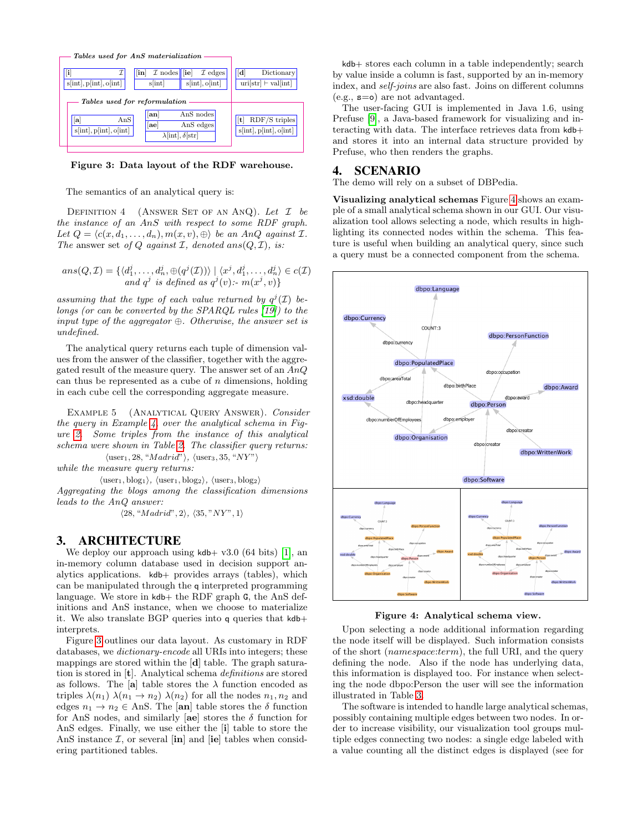

Figure 3: Data layout of the RDF warehouse.

The semantics of an analytical query is:

DEFINITION 4 (ANSWER SET OF AN ANQ). Let  $I$  be the instance of an AnS with respect to some RDF graph. Let  $Q = \langle c(x, d_1, \ldots, d_n), m(x, v), \oplus \rangle$  be an AnQ against I. The answer set of Q against  $\mathcal{I}$ , denoted ans $(Q, \mathcal{I})$ , is:

$$
ans(Q, \mathcal{I}) = \{ \langle d_1^j, \dots, d_n^j, \oplus (q^j(\mathcal{I})) \rangle \mid \langle x^j, d_1^j, \dots, d_n^j \rangle \in c(\mathcal{I})
$$
  
and  $q^j$  is defined as  $q^j(v)$ :  $m(x^j, v)$ 

assuming that the type of each value returned by  $q^{j}(\mathcal{I})$  belongs (or can be converted by the SPARQL rules [19]) to the input type of the aggregator  $\oplus$ . Otherwise, the answer set is undefined.

The analytical query returns each tuple of dimension values from the answer of the classifier, together with the aggregated result of the measure query. The answer set of an AnQ can thus be represented as a cube of  $n$  dimensions, holding in each cube cell the corresponding aggregate measure.

Example 5 (Analytical Query Answer). Consider the query in Example 4, over the analytical schema in Figure 2. Some triples from the instance of this analytical schema were shown in Table 2. The classifier query returns:

 $\langle$ user<sub>1</sub>, 28, "*Madrid*" $\rangle$ ,  $\langle$ user<sub>3</sub>, 35, "NY" $\rangle$ while the measure query returns:

 $\langle$ user<sub>1</sub>, blog<sub>1</sub> $\rangle$ ,  $\langle$ user<sub>1</sub>, blog<sub>2</sub> $\rangle$ ,  $\langle$ user<sub>3</sub>, blog<sub>2</sub> $\rangle$ 

Aggregating the blogs among the classification dimensions leads to the AnQ answer:

 $\langle 28, "Madrid", 2 \rangle, \langle 35, "NY", 1 \rangle$ 

# 3. ARCHITECTURE

We deploy our approach using  $kdb+ v3.0$  (64 bits) [1], an in-memory column database used in decision support analytics applications. kdb+ provides arrays (tables), which can be manipulated through the q interpreted programming language. We store in  $kdb+$  the RDF graph G, the AnS definitions and AnS instance, when we choose to materialize it. We also translate BGP queries into q queries that kdb+ interprets.

Figure 3 outlines our data layout. As customary in RDF databases, we dictionary-encode all URIs into integers; these mappings are stored within the [d] table. The graph saturation is stored in [t]. Analytical schema definitions are stored as follows. The [a] table stores the  $\lambda$  function encoded as triples  $\lambda(n_1)$   $\lambda(n_1 \rightarrow n_2)$   $\lambda(n_2)$  for all the nodes  $n_1, n_2$  and edges  $n_1 \rightarrow n_2 \in \text{Ans}$ . The [an] table stores the  $\delta$  function for AnS nodes, and similarly [ae] stores the  $\delta$  function for AnS edges. Finally, we use either the [i] table to store the AnS instance  $\mathcal{I}$ , or several [in] and [ie] tables when considering partitioned tables.

kdb+ stores each column in a table independently; search by value inside a column is fast, supported by an in-memory index, and self-joins are also fast. Joins on different columns  $(e.g., s=0)$  are not advantaged.

The user-facing GUI is implemented in Java 1.6, using Prefuse [9], a Java-based framework for visualizing and interacting with data. The interface retrieves data from kdb+ and stores it into an internal data structure provided by Prefuse, who then renders the graphs.

### 4. SCENARIO

The demo will rely on a subset of DBPedia.

Visualizing analytical schemas Figure 4 shows an example of a small analytical schema shown in our GUI. Our visualization tool allows selecting a node, which results in highlighting its connected nodes within the schema. This feature is useful when building an analytical query, since such a query must be a connected component from the schema.



Figure 4: Analytical schema view.

Upon selecting a node additional information regarding the node itself will be displayed. Such information consists of the short (namespace:term), the full URI, and the query defining the node. Also if the node has underlying data, this information is displayed too. For instance when selecting the node dbpo:Person the user will see the information illustrated in Table 3.

The software is intended to handle large analytical schemas, possibly containing multiple edges between two nodes. In order to increase visibility, our visualization tool groups multiple edges connecting two nodes: a single edge labeled with a value counting all the distinct edges is displayed (see for